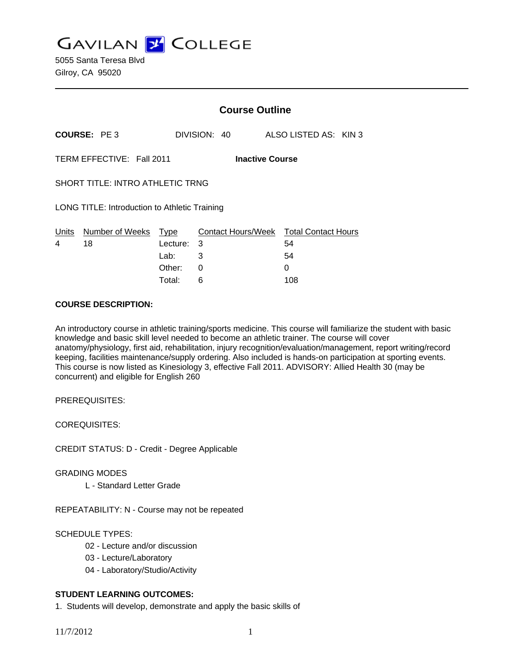**GAVILAN Z COLLEGE** 

|                                               |                           | <b>Course Outline</b>              |                                                       |  |                       |  |
|-----------------------------------------------|---------------------------|------------------------------------|-------------------------------------------------------|--|-----------------------|--|
| <b>COURSE: PE3</b>                            |                           |                                    | DIVISION: 40                                          |  | ALSO LISTED AS: KIN 3 |  |
|                                               | TERM EFFECTIVE: Fall 2011 |                                    | <b>Inactive Course</b>                                |  |                       |  |
| SHORT TITLE: INTRO ATHLETIC TRNG              |                           |                                    |                                                       |  |                       |  |
| LONG TITLE: Introduction to Athletic Training |                           |                                    |                                                       |  |                       |  |
| Units<br>4                                    | Number of Weeks<br>18     | Type<br>Lecture:<br>Lab:<br>Other: | Contact Hours/Week Total Contact Hours<br>3<br>3<br>Ω |  | 54<br>54<br>0         |  |
|                                               |                           |                                    |                                                       |  |                       |  |

Total: 6 108

#### **COURSE DESCRIPTION:**

An introductory course in athletic training/sports medicine. This course will familiarize the student with basic knowledge and basic skill level needed to become an athletic trainer. The course will cover anatomy/physiology, first aid, rehabilitation, injury recognition/evaluation/management, report writing/record keeping, facilities maintenance/supply ordering. Also included is hands-on participation at sporting events. This course is now listed as Kinesiology 3, effective Fall 2011. ADVISORY: Allied Health 30 (may be concurrent) and eligible for English 260

PREREQUISITES:

COREQUISITES:

CREDIT STATUS: D - Credit - Degree Applicable

#### GRADING MODES

L - Standard Letter Grade

REPEATABILITY: N - Course may not be repeated

## SCHEDULE TYPES:

- 02 Lecture and/or discussion
- 03 Lecture/Laboratory
- 04 Laboratory/Studio/Activity

## **STUDENT LEARNING OUTCOMES:**

1. Students will develop, demonstrate and apply the basic skills of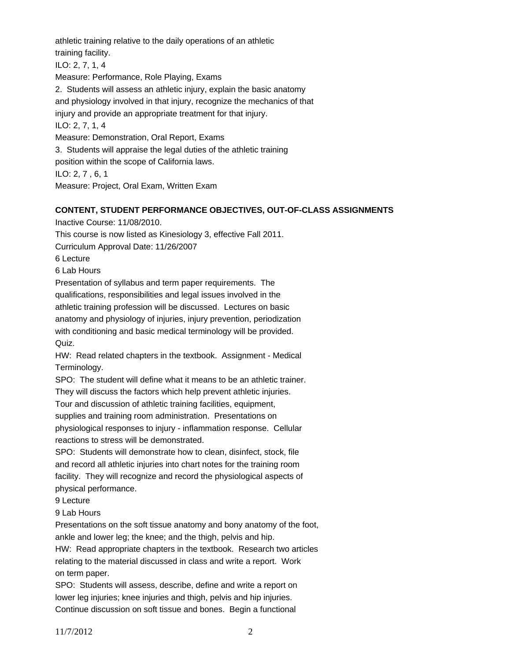athletic training relative to the daily operations of an athletic training facility. ILO: 2, 7, 1, 4 Measure: Performance, Role Playing, Exams 2. Students will assess an athletic injury, explain the basic anatomy and physiology involved in that injury, recognize the mechanics of that injury and provide an appropriate treatment for that injury. ILO: 2, 7, 1, 4 Measure: Demonstration, Oral Report, Exams 3. Students will appraise the legal duties of the athletic training position within the scope of California laws. ILO: 2, 7 , 6, 1 Measure: Project, Oral Exam, Written Exam

## **CONTENT, STUDENT PERFORMANCE OBJECTIVES, OUT-OF-CLASS ASSIGNMENTS**

Inactive Course: 11/08/2010.

This course is now listed as Kinesiology 3, effective Fall 2011.

Curriculum Approval Date: 11/26/2007

6 Lecture

6 Lab Hours

Presentation of syllabus and term paper requirements. The qualifications, responsibilities and legal issues involved in the athletic training profession will be discussed. Lectures on basic anatomy and physiology of injuries, injury prevention, periodization with conditioning and basic medical terminology will be provided. Quiz.

HW: Read related chapters in the textbook. Assignment - Medical Terminology.

SPO: The student will define what it means to be an athletic trainer.

They will discuss the factors which help prevent athletic injuries.

Tour and discussion of athletic training facilities, equipment,

supplies and training room administration. Presentations on

physiological responses to injury - inflammation response. Cellular reactions to stress will be demonstrated.

SPO: Students will demonstrate how to clean, disinfect, stock, file and record all athletic injuries into chart notes for the training room facility. They will recognize and record the physiological aspects of physical performance.

9 Lecture

9 Lab Hours

Presentations on the soft tissue anatomy and bony anatomy of the foot, ankle and lower leg; the knee; and the thigh, pelvis and hip.

HW: Read appropriate chapters in the textbook. Research two articles relating to the material discussed in class and write a report. Work on term paper.

SPO: Students will assess, describe, define and write a report on lower leg injuries; knee injuries and thigh, pelvis and hip injuries. Continue discussion on soft tissue and bones. Begin a functional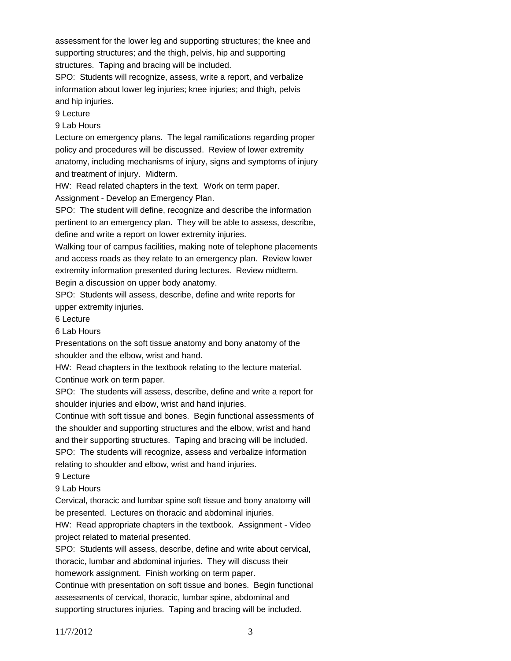assessment for the lower leg and supporting structures; the knee and supporting structures; and the thigh, pelvis, hip and supporting structures. Taping and bracing will be included.

SPO: Students will recognize, assess, write a report, and verbalize information about lower leg injuries; knee injuries; and thigh, pelvis and hip injuries.

9 Lecture

9 Lab Hours

Lecture on emergency plans. The legal ramifications regarding proper policy and procedures will be discussed. Review of lower extremity anatomy, including mechanisms of injury, signs and symptoms of injury and treatment of injury. Midterm.

HW: Read related chapters in the text. Work on term paper.

Assignment - Develop an Emergency Plan.

SPO: The student will define, recognize and describe the information pertinent to an emergency plan. They will be able to assess, describe, define and write a report on lower extremity injuries.

Walking tour of campus facilities, making note of telephone placements and access roads as they relate to an emergency plan. Review lower extremity information presented during lectures. Review midterm.

Begin a discussion on upper body anatomy.

SPO: Students will assess, describe, define and write reports for upper extremity injuries.

6 Lecture

6 Lab Hours

Presentations on the soft tissue anatomy and bony anatomy of the shoulder and the elbow, wrist and hand.

HW: Read chapters in the textbook relating to the lecture material. Continue work on term paper.

SPO: The students will assess, describe, define and write a report for shoulder injuries and elbow, wrist and hand injuries.

Continue with soft tissue and bones. Begin functional assessments of the shoulder and supporting structures and the elbow, wrist and hand and their supporting structures. Taping and bracing will be included. SPO: The students will recognize, assess and verbalize information relating to shoulder and elbow, wrist and hand injuries.

9 Lecture

9 Lab Hours

Cervical, thoracic and lumbar spine soft tissue and bony anatomy will be presented. Lectures on thoracic and abdominal injuries.

HW: Read appropriate chapters in the textbook. Assignment - Video project related to material presented.

SPO: Students will assess, describe, define and write about cervical, thoracic, lumbar and abdominal injuries. They will discuss their homework assignment. Finish working on term paper.

Continue with presentation on soft tissue and bones. Begin functional assessments of cervical, thoracic, lumbar spine, abdominal and supporting structures injuries. Taping and bracing will be included.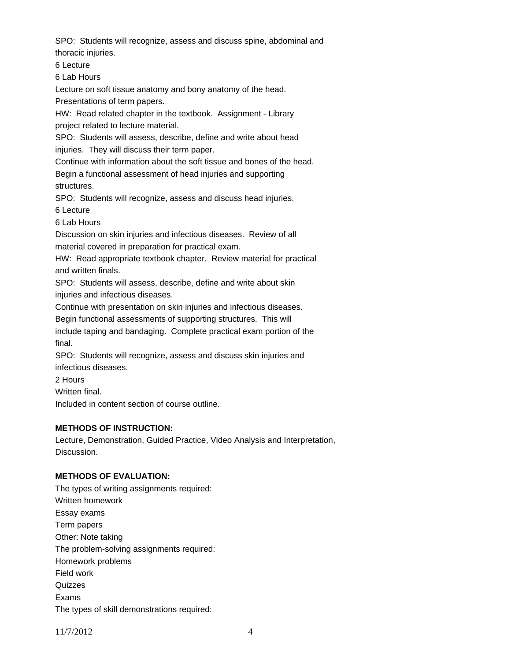SPO: Students will recognize, assess and discuss spine, abdominal and thoracic injuries.

6 Lecture

6 Lab Hours

Lecture on soft tissue anatomy and bony anatomy of the head.

Presentations of term papers.

HW: Read related chapter in the textbook. Assignment - Library project related to lecture material.

SPO: Students will assess, describe, define and write about head injuries. They will discuss their term paper.

Continue with information about the soft tissue and bones of the head.

Begin a functional assessment of head injuries and supporting structures.

SPO: Students will recognize, assess and discuss head injuries.

6 Lecture

6 Lab Hours

Discussion on skin injuries and infectious diseases. Review of all

material covered in preparation for practical exam.

HW: Read appropriate textbook chapter. Review material for practical and written finals.

SPO: Students will assess, describe, define and write about skin injuries and infectious diseases.

Continue with presentation on skin injuries and infectious diseases.

Begin functional assessments of supporting structures. This will

include taping and bandaging. Complete practical exam portion of the final.

SPO: Students will recognize, assess and discuss skin injuries and infectious diseases.

2 Hours

Written final.

Included in content section of course outline.

## **METHODS OF INSTRUCTION:**

Lecture, Demonstration, Guided Practice, Video Analysis and Interpretation, Discussion.

## **METHODS OF EVALUATION:**

The types of writing assignments required: Written homework Essay exams Term papers Other: Note taking The problem-solving assignments required: Homework problems Field work **Quizzes** Exams The types of skill demonstrations required: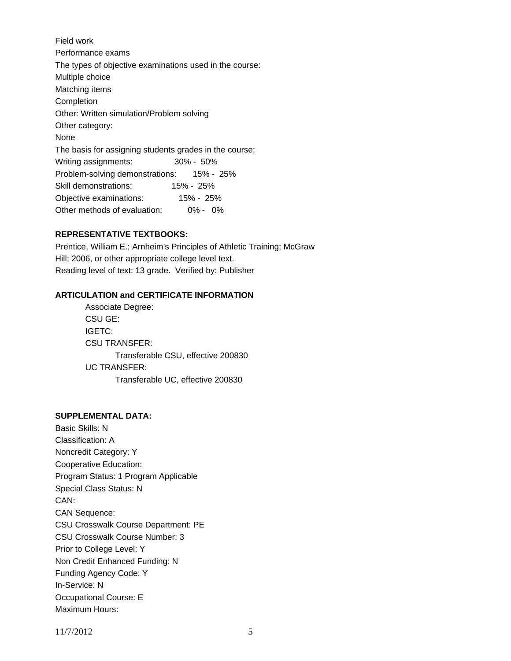Field work Performance exams The types of objective examinations used in the course: Multiple choice Matching items Completion Other: Written simulation/Problem solving Other category: None The basis for assigning students grades in the course: Writing assignments: 30% - 50% Problem-solving demonstrations: 15% - 25% Skill demonstrations: 15% - 25% Objective examinations: 15% - 25% Other methods of evaluation: 0% - 0%

## **REPRESENTATIVE TEXTBOOKS:**

Prentice, William E.; Arnheim's Principles of Athletic Training; McGraw Hill; 2006, or other appropriate college level text. Reading level of text: 13 grade. Verified by: Publisher

## **ARTICULATION and CERTIFICATE INFORMATION**

 Transferable CSU, effective 200830 UC TRANSFER: Transferable UC, effective 200830 Associate Degree: CSU GE: IGETC: CSU TRANSFER:

# **SUPPLEMENTAL DATA:**

Basic Skills: N Classification: A Noncredit Category: Y Cooperative Education: Program Status: 1 Program Applicable Special Class Status: N CAN: CAN Sequence: CSU Crosswalk Course Department: PE CSU Crosswalk Course Number: 3 Prior to College Level: Y Non Credit Enhanced Funding: N Funding Agency Code: Y In-Service: N Occupational Course: E Maximum Hours: